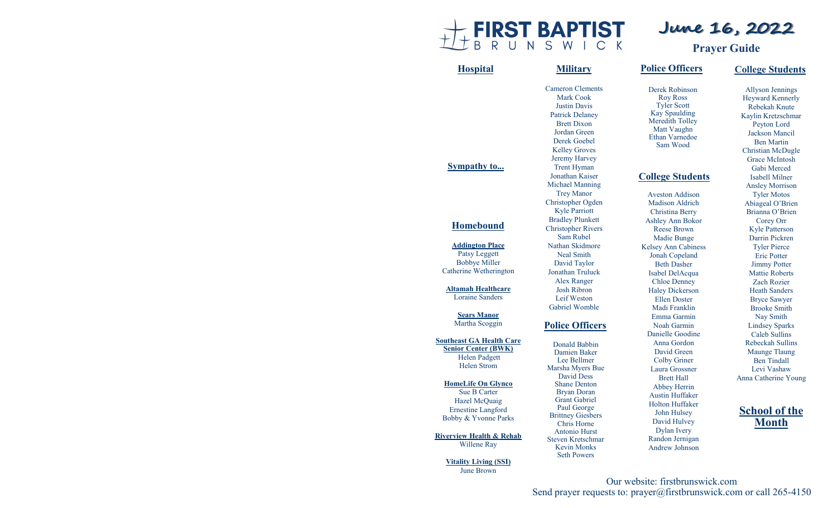

# **June 16, 2022**

**Prayer Guide**

#### Allyson Jennings Heyward Kennerly Rebekah Knute Kaylin Kretzschmar Peyton Lord Jackson Mancil Ben Martin Christian McDugle Grace McIntosh Gabi Merced Isabell Milner Ansley Morrison Tyler Motos Abiageal O'Brien Brianna O'Brien Corey Orr Kyle Patterson Darrin Pickren Tyler Pierce Eric Potter Jimmy Potter Mattie Roberts Zach Rozier Heath Sanders Bryce Sawyer Brooke Smith Nay Smith Lindsey Sparks Caleb Sullins Rebeckah Sullins Maunge Tlaung Ben Tindall Levi Vashaw Anna Catherine Young **School of the Month** Catherine Wetherington **Altamah Healthcare**  Loraine Sanders **Sears Manor**  Martha Scoggin Helen Strom **HomeLife On Glynco** Hazel McQuaig Willene Ray Cameron Clements Mark Cook Justin Davis Patrick Delaney Brett Dixon Jordan Green Derek Goebel Kelley Groves Jeremy Harvey Trent Hyman Jonathan Kaiser Michael Manning Trey Manor Christopher Ogden Kyle Parriott Bradley Plunkett Christopher Rivers Sam Rubel Nathan Skidmore Neal Smith David Taylor Jonathan Truluck Alex Ranger Josh Ribron Leif Weston Gabriel Womble **Hospital Military College Students Police Officers** Derek Robinson Roy Ross Tyler Scott Kay Spaulding Meredith Tolley Matt Vaughn Ethan Varnedoe Sam Wood **College Students** Aveston Addison Madison Aldrich Christina Berry Ashley Ann Bokor Reese Brown Madie Bunge Kelsey Ann Cabiness Jonah Copeland Beth Dasher Isabel DelAcqua Chloe Denney Haley Dickerson Ellen Doster Madi Franklin Emma Garmin Noah Garmin Danielle Goodine Anna Gordon David Green Colby Griner Laura Grossner Brett Hall Abbey Herrin Austin Huffaker Holton Huffaker John Hulsey David Hulvey Dylan Ivery Randon Jernigan Andrew Johnson **Police Officers** Donald Babbin Damien Baker Lee Bellmer Marsha Myers Bue David Dess Shane Denton Bryan Doran Grant Gabriel Paul George Brittney Giesbers Chris Horne Antonio Hurst Steven Kretschmar Kevin Monks Seth Powers

Our website: firstbrunswick.com Send prayer requests to: prayer@firstbrunswick.com or call 265-4150

### **Sympathy to...**

#### **Homebound**

**Addington Place** Patsy Leggett Bobbye Miller

**Southeast GA Health Care Senior Center (BWK)** Helen Padgett

Sue B Carter

Ernestine Langford Bobby & Yvonne Parks

**Riverview Health & Rehab**

**Vitality Living (SSI)** June Brown